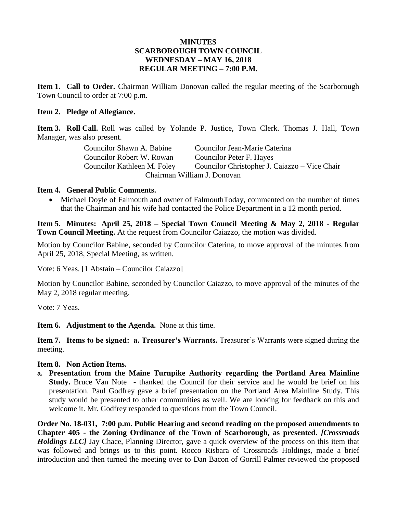#### **MINUTES SCARBOROUGH TOWN COUNCIL WEDNESDAY – MAY 16, 2018 REGULAR MEETING – 7:00 P.M.**

**Item 1. Call to Order.** Chairman William Donovan called the regular meeting of the Scarborough Town Council to order at 7:00 p.m.

#### **Item 2. Pledge of Allegiance.**

**Item 3. Roll Call.** Roll was called by Yolande P. Justice, Town Clerk. Thomas J. Hall, Town Manager, was also present.

| Councilor Shawn A. Babine   | Councilor Jean-Marie Caterina                 |
|-----------------------------|-----------------------------------------------|
| Councilor Robert W. Rowan   | Councilor Peter F. Hayes                      |
| Councilor Kathleen M. Foley | Councilor Christopher J. Caiazzo – Vice Chair |
|                             | Chairman William J. Donovan                   |

#### **Item 4. General Public Comments.**

• Michael Doyle of Falmouth and owner of FalmouthToday, commented on the number of times that the Chairman and his wife had contacted the Police Department in a 12 month period.

**Item 5. Minutes: April 25, 2018 – Special Town Council Meeting & May 2, 2018 - Regular Town Council Meeting.** At the request from Councilor Caiazzo, the motion was divided.

Motion by Councilor Babine, seconded by Councilor Caterina, to move approval of the minutes from April 25, 2018, Special Meeting, as written.

Vote: 6 Yeas. [1 Abstain – Councilor Caiazzo]

Motion by Councilor Babine, seconded by Councilor Caiazzo, to move approval of the minutes of the May 2, 2018 regular meeting.

Vote: 7 Yeas.

**Item 6. Adjustment to the Agenda.** None at this time.

**Item 7. Items to be signed: a. Treasurer's Warrants.** Treasurer's Warrants were signed during the meeting.

#### **Item 8. Non Action Items.**

**a. Presentation from the Maine Turnpike Authority regarding the Portland Area Mainline Study.** Bruce Van Note - thanked the Council for their service and he would be brief on his presentation. Paul Godfrey gave a brief presentation on the Portland Area Mainline Study. This study would be presented to other communities as well. We are looking for feedback on this and welcome it. Mr. Godfrey responded to questions from the Town Council.

**Order No. 18-031, 7:00 p.m. Public Hearing and second reading on the proposed amendments to Chapter 405 - the Zoning Ordinance of the Town of Scarborough, as presented.** *[Crossroads Holdings LLC]* Jay Chace, Planning Director, gave a quick overview of the process on this item that was followed and brings us to this point. Rocco Risbara of Crossroads Holdings, made a brief introduction and then turned the meeting over to Dan Bacon of Gorrill Palmer reviewed the proposed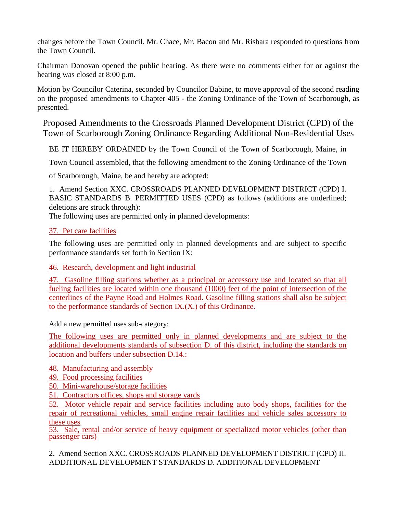changes before the Town Council. Mr. Chace, Mr. Bacon and Mr. Risbara responded to questions from the Town Council.

Chairman Donovan opened the public hearing. As there were no comments either for or against the hearing was closed at 8:00 p.m.

Motion by Councilor Caterina, seconded by Councilor Babine, to move approval of the second reading on the proposed amendments to Chapter 405 - the Zoning Ordinance of the Town of Scarborough, as presented.

Proposed Amendments to the Crossroads Planned Development District (CPD) of the Town of Scarborough Zoning Ordinance Regarding Additional Non-Residential Uses

BE IT HEREBY ORDAINED by the Town Council of the Town of Scarborough, Maine, in

Town Council assembled, that the following amendment to the Zoning Ordinance of the Town

of Scarborough, Maine, be and hereby are adopted:

1. Amend Section XXC. CROSSROADS PLANNED DEVELOPMENT DISTRICT (CPD) I. BASIC STANDARDS B. PERMITTED USES (CPD) as follows (additions are underlined; deletions are struck through):

The following uses are permitted only in planned developments:

# 37. Pet care facilities

The following uses are permitted only in planned developments and are subject to specific performance standards set forth in Section IX:

46. Research, development and light industrial

47. Gasoline filling stations whether as a principal or accessory use and located so that all fueling facilities are located within one thousand (1000) feet of the point of intersection of the centerlines of the Payne Road and Holmes Road. Gasoline filling stations shall also be subject to the performance standards of Section IX.(X.) of this Ordinance.

Add a new permitted uses sub-category:

The following uses are permitted only in planned developments and are subject to the additional developments standards of subsection D. of this district, including the standards on location and buffers under subsection D.14.:

# 48. Manufacturing and assembly

49. Food processing facilities

- 50. Mini-warehouse/storage facilities
- 51. Contractors offices, shops and storage yards

52. Motor vehicle repair and service facilities including auto body shops, facilities for the repair of recreational vehicles, small engine repair facilities and vehicle sales accessory to these uses

53. Sale, rental and/or service of heavy equipment or specialized motor vehicles (other than passenger cars)

2. Amend Section XXC. CROSSROADS PLANNED DEVELOPMENT DISTRICT (CPD) II. ADDITIONAL DEVELOPMENT STANDARDS D. ADDITIONAL DEVELOPMENT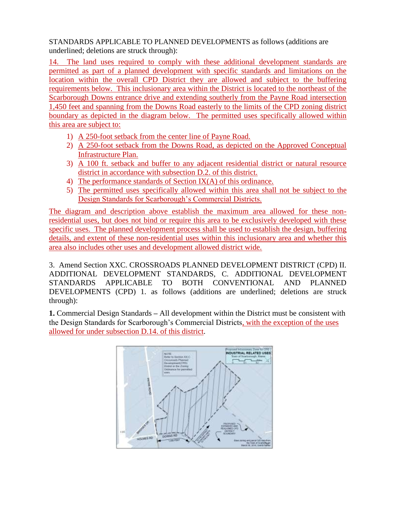STANDARDS APPLICABLE TO PLANNED DEVELOPMENTS as follows (additions are underlined; deletions are struck through):

14. The land uses required to comply with these additional development standards are permitted as part of a planned development with specific standards and limitations on the location within the overall CPD District they are allowed and subject to the buffering requirements below. This inclusionary area within the District is located to the northeast of the Scarborough Downs entrance drive and extending southerly from the Payne Road intersection 1,450 feet and spanning from the Downs Road easterly to the limits of the CPD zoning district boundary as depicted in the diagram below. The permitted uses specifically allowed within this area are subject to:

- 1) A 250-foot setback from the center line of Payne Road.
- 2) A 250-foot setback from the Downs Road, as depicted on the Approved Conceptual Infrastructure Plan.
- 3) A 100 ft. setback and buffer to any adjacent residential district or natural resource district in accordance with subsection D.2. of this district.
- 4) The performance standards of Section IX(A) of this ordinance.
- 5) The permitted uses specifically allowed within this area shall not be subject to the Design Standards for Scarborough's Commercial Districts.

The diagram and description above establish the maximum area allowed for these nonresidential uses, but does not bind or require this area to be exclusively developed with these specific uses. The planned development process shall be used to establish the design, buffering details, and extent of these non-residential uses within this inclusionary area and whether this area also includes other uses and development allowed district wide.

3. Amend Section XXC. CROSSROADS PLANNED DEVELOPMENT DISTRICT (CPD) II. ADDITIONAL DEVELOPMENT STANDARDS, C. ADDITIONAL DEVELOPMENT STANDARDS APPLICABLE TO BOTH CONVENTIONAL AND PLANNED DEVELOPMENTS (CPD) 1. as follows (additions are underlined; deletions are struck through):

**1.** Commercial Design Standards **–** All development within the District must be consistent with the Design Standards for Scarborough's Commercial Districts, with the exception of the uses allowed for under subsection D.14. of this district.

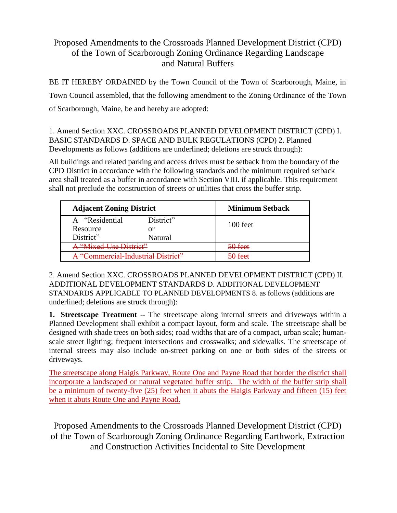# Proposed Amendments to the Crossroads Planned Development District (CPD) of the Town of Scarborough Zoning Ordinance Regarding Landscape and Natural Buffers

BE IT HEREBY ORDAINED by the Town Council of the Town of Scarborough, Maine, in Town Council assembled, that the following amendment to the Zoning Ordinance of the Town of Scarborough, Maine, be and hereby are adopted:

1. Amend Section XXC. CROSSROADS PLANNED DEVELOPMENT DISTRICT (CPD) I. BASIC STANDARDS D. SPACE AND BULK REGULATIONS (CPD) 2. Planned Developments as follows (additions are underlined; deletions are struck through):

All buildings and related parking and access drives must be setback from the boundary of the CPD District in accordance with the following standards and the minimum required setback area shall treated as a buffer in accordance with Section VIII. if applicable. This requirement shall not preclude the construction of streets or utilities that cross the buffer strip.

| <b>Adjacent Zoning District</b>    |           | <b>Minimum Setback</b> |
|------------------------------------|-----------|------------------------|
| A "Residential                     | District" | $100$ feet             |
| Resource                           | or        |                        |
| District"                          | Natural   |                        |
| A "Mixed-Use District"             |           | 50 feet                |
| A "Commercial-Industrial District" |           | 50 feet                |

2. Amend Section XXC. CROSSROADS PLANNED DEVELOPMENT DISTRICT (CPD) II. ADDITIONAL DEVELOPMENT STANDARDS D. ADDITIONAL DEVELOPMENT STANDARDS APPLICABLE TO PLANNED DEVELOPMENTS 8. as follows (additions are underlined; deletions are struck through):

**1. Streetscape Treatment** -- The streetscape along internal streets and driveways within a Planned Development shall exhibit a compact layout, form and scale. The streetscape shall be designed with shade trees on both sides; road widths that are of a compact, urban scale; humanscale street lighting; frequent intersections and crosswalks; and sidewalks. The streetscape of internal streets may also include on-street parking on one or both sides of the streets or driveways.

The streetscape along Haigis Parkway, Route One and Payne Road that border the district shall incorporate a landscaped or natural vegetated buffer strip. The width of the buffer strip shall be a minimum of twenty-five (25) feet when it abuts the Haigis Parkway and fifteen (15) feet when it abuts Route One and Payne Road.

Proposed Amendments to the Crossroads Planned Development District (CPD) of the Town of Scarborough Zoning Ordinance Regarding Earthwork, Extraction and Construction Activities Incidental to Site Development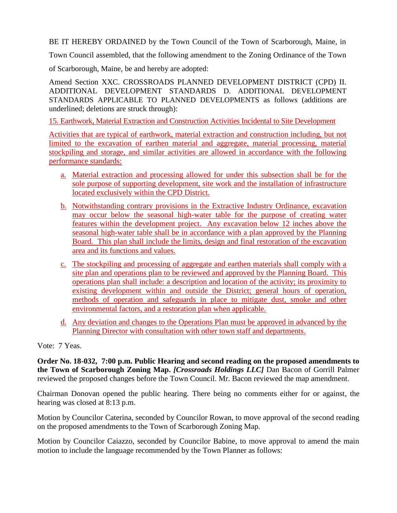BE IT HEREBY ORDAINED by the Town Council of the Town of Scarborough, Maine, in

Town Council assembled, that the following amendment to the Zoning Ordinance of the Town

of Scarborough, Maine, be and hereby are adopted:

Amend Section XXC. CROSSROADS PLANNED DEVELOPMENT DISTRICT (CPD) II. ADDITIONAL DEVELOPMENT STANDARDS D. ADDITIONAL DEVELOPMENT STANDARDS APPLICABLE TO PLANNED DEVELOPMENTS as follows (additions are underlined; deletions are struck through):

15. Earthwork, Material Extraction and Construction Activities Incidental to Site Development

Activities that are typical of earthwork, material extraction and construction including, but not limited to the excavation of earthen material and aggregate, material processing, material stockpiling and storage, and similar activities are allowed in accordance with the following performance standards:

- a. Material extraction and processing allowed for under this subsection shall be for the sole purpose of supporting development, site work and the installation of infrastructure located exclusively within the CPD District.
- b. Notwithstanding contrary provisions in the Extractive Industry Ordinance, excavation may occur below the seasonal high-water table for the purpose of creating water features within the development project. Any excavation below 12 inches above the seasonal high-water table shall be in accordance with a plan approved by the Planning Board. This plan shall include the limits, design and final restoration of the excavation area and its functions and values.
- c. The stockpiling and processing of aggregate and earthen materials shall comply with a site plan and operations plan to be reviewed and approved by the Planning Board. This operations plan shall include: a description and location of the activity; its proximity to existing development within and outside the District; general hours of operation, methods of operation and safeguards in place to mitigate dust, smoke and other environmental factors, and a restoration plan when applicable.
- d. Any deviation and changes to the Operations Plan must be approved in advanced by the Planning Director with consultation with other town staff and departments.

# Vote: 7 Yeas.

**Order No. 18-032, 7:00 p.m. Public Hearing and second reading on the proposed amendments to the Town of Scarborough Zoning Map.** *[Crossroads Holdings LLC]* Dan Bacon of Gorrill Palmer reviewed the proposed changes before the Town Council. Mr. Bacon reviewed the map amendment.

Chairman Donovan opened the public hearing. There being no comments either for or against, the hearing was closed at 8:13 p.m.

Motion by Councilor Caterina, seconded by Councilor Rowan, to move approval of the second reading on the proposed amendments to the Town of Scarborough Zoning Map.

Motion by Councilor Caiazzo, seconded by Councilor Babine, to move approval to amend the main motion to include the language recommended by the Town Planner as follows: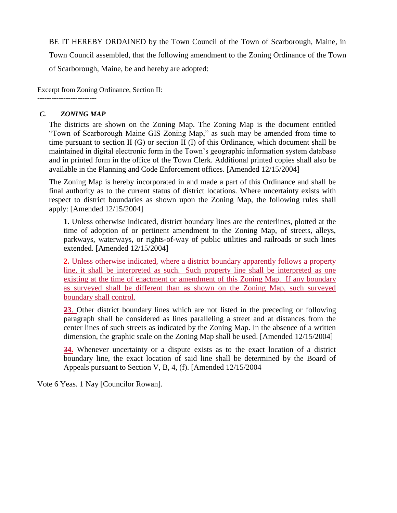BE IT HEREBY ORDAINED by the Town Council of the Town of Scarborough, Maine, in Town Council assembled, that the following amendment to the Zoning Ordinance of the Town of Scarborough, Maine, be and hereby are adopted:

Excerpt from Zoning Ordinance, Section II: -------------------------

### *C. ZONING MAP*

The districts are shown on the Zoning Map. The Zoning Map is the document entitled "Town of Scarborough Maine GIS Zoning Map," as such may be amended from time to time pursuant to section II (G) or section II (I) of this Ordinance, which document shall be maintained in digital electronic form in the Town's geographic information system database and in printed form in the office of the Town Clerk. Additional printed copies shall also be available in the Planning and Code Enforcement offices. [Amended 12/15/2004]

The Zoning Map is hereby incorporated in and made a part of this Ordinance and shall be final authority as to the current status of district locations. Where uncertainty exists with respect to district boundaries as shown upon the Zoning Map, the following rules shall apply: [Amended 12/15/2004]

**1.** Unless otherwise indicated, district boundary lines are the centerlines, plotted at the time of adoption of or pertinent amendment to the Zoning Map, of streets, alleys, parkways, waterways, or rights-of-way of public utilities and railroads or such lines extended. [Amended 12/15/2004]

**2.** Unless otherwise indicated, where a district boundary apparently follows a property line, it shall be interpreted as such. Such property line shall be interpreted as one existing at the time of enactment or amendment of this Zoning Map. If any boundary as surveyed shall be different than as shown on the Zoning Map, such surveyed boundary shall control.

**23**. Other district boundary lines which are not listed in the preceding or following paragraph shall be considered as lines paralleling a street and at distances from the center lines of such streets as indicated by the Zoning Map. In the absence of a written dimension, the graphic scale on the Zoning Map shall be used. [Amended 12/15/2004]

**34.** Whenever uncertainty or a dispute exists as to the exact location of a district boundary line, the exact location of said line shall be determined by the Board of Appeals pursuant to Section V, B, 4, (f). [Amended 12/15/2004

Vote 6 Yeas. 1 Nay [Councilor Rowan].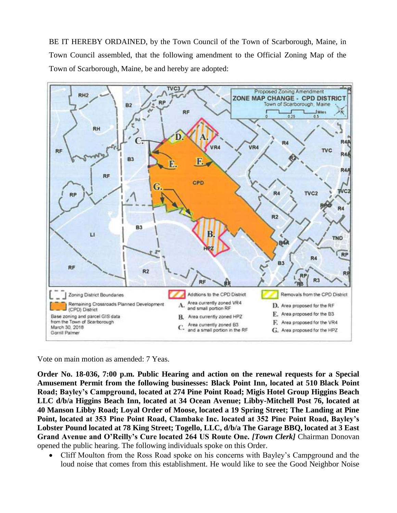BE IT HEREBY ORDAINED, by the Town Council of the Town of Scarborough, Maine, in Town Council assembled, that the following amendment to the Official Zoning Map of the Town of Scarborough, Maine, be and hereby are adopted:



Vote on main motion as amended: 7 Yeas.

**Order No. 18-036, 7:00 p.m. Public Hearing and action on the renewal requests for a Special Amusement Permit from the following businesses: Black Point Inn, located at 510 Black Point Road; Bayley's Campground, located at 274 Pine Point Road; Migis Hotel Group Higgins Beach LLC d/b/a Higgins Beach Inn, located at 34 Ocean Avenue; Libby-Mitchell Post 76, located at 40 Manson Libby Road; Loyal Order of Moose, located a 19 Spring Street; The Landing at Pine Point, located at 353 Pine Point Road, Clambake Inc. located at 352 Pine Point Road, Bayley's Lobster Pound located at 78 King Street; Togello, LLC, d/b/a The Garage BBQ, located at 3 East Grand Avenue and O'Reilly's Cure located 264 US Route One.** *[Town Clerk]* Chairman Donovan opened the public hearing. The following individuals spoke on this Order.

• Cliff Moulton from the Ross Road spoke on his concerns with Bayley's Campground and the loud noise that comes from this establishment. He would like to see the Good Neighbor Noise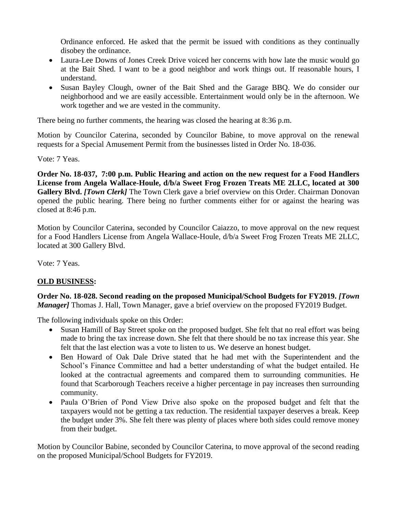Ordinance enforced. He asked that the permit be issued with conditions as they continually disobey the ordinance.

- Laura-Lee Downs of Jones Creek Drive voiced her concerns with how late the music would go at the Bait Shed. I want to be a good neighbor and work things out. If reasonable hours, I understand.
- Susan Bayley Clough, owner of the Bait Shed and the Garage BBQ. We do consider our neighborhood and we are easily accessible. Entertainment would only be in the afternoon. We work together and we are vested in the community.

There being no further comments, the hearing was closed the hearing at 8:36 p.m.

Motion by Councilor Caterina, seconded by Councilor Babine, to move approval on the renewal requests for a Special Amusement Permit from the businesses listed in Order No. 18-036.

Vote: 7 Yeas.

**Order No. 18-037, 7:00 p.m. Public Hearing and action on the new request for a Food Handlers License from Angela Wallace-Houle, d/b/a Sweet Frog Frozen Treats ME 2LLC, located at 300 Gallery Blvd.** *[Town Clerk]* The Town Clerk gave a brief overview on this Order. Chairman Donovan opened the public hearing. There being no further comments either for or against the hearing was closed at 8:46 p.m.

Motion by Councilor Caterina, seconded by Councilor Caiazzo, to move approval on the new request for a Food Handlers License from Angela Wallace-Houle, d/b/a Sweet Frog Frozen Treats ME 2LLC, located at 300 Gallery Blvd.

Vote: 7 Yeas.

# **OLD BUSINESS:**

**Order No. 18-028. Second reading on the proposed Municipal/School Budgets for FY2019.** *[Town Manager]* Thomas J. Hall, Town Manager, gave a brief overview on the proposed FY2019 Budget.

The following individuals spoke on this Order:

- Susan Hamill of Bay Street spoke on the proposed budget. She felt that no real effort was being made to bring the tax increase down. She felt that there should be no tax increase this year. She felt that the last election was a vote to listen to us. We deserve an honest budget.
- Ben Howard of Oak Dale Drive stated that he had met with the Superintendent and the School's Finance Committee and had a better understanding of what the budget entailed. He looked at the contractual agreements and compared them to surrounding communities. He found that Scarborough Teachers receive a higher percentage in pay increases then surrounding community.
- Paula O'Brien of Pond View Drive also spoke on the proposed budget and felt that the taxpayers would not be getting a tax reduction. The residential taxpayer deserves a break. Keep the budget under 3%. She felt there was plenty of places where both sides could remove money from their budget.

Motion by Councilor Babine, seconded by Councilor Caterina, to move approval of the second reading on the proposed Municipal/School Budgets for FY2019.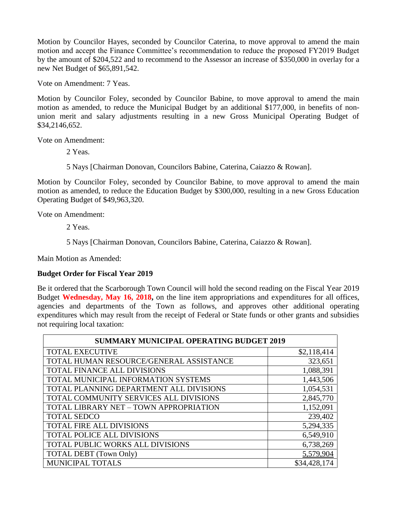Motion by Councilor Hayes, seconded by Councilor Caterina, to move approval to amend the main motion and accept the Finance Committee's recommendation to reduce the proposed FY2019 Budget by the amount of \$204,522 and to recommend to the Assessor an increase of \$350,000 in overlay for a new Net Budget of \$65,891,542.

Vote on Amendment: 7 Yeas.

Motion by Councilor Foley, seconded by Councilor Babine, to move approval to amend the main motion as amended, to reduce the Municipal Budget by an additional \$177,000, in benefits of nonunion merit and salary adjustments resulting in a new Gross Municipal Operating Budget of \$34,2146,652.

Vote on Amendment:

2 Yeas.

5 Nays [Chairman Donovan, Councilors Babine, Caterina, Caiazzo & Rowan].

Motion by Councilor Foley, seconded by Councilor Babine, to move approval to amend the main motion as amended, to reduce the Education Budget by \$300,000, resulting in a new Gross Education Operating Budget of \$49,963,320.

Vote on Amendment:

2 Yeas.

5 Nays [Chairman Donovan, Councilors Babine, Caterina, Caiazzo & Rowan].

Main Motion as Amended:

# **Budget Order for Fiscal Year 2019**

Be it ordered that the Scarborough Town Council will hold the second reading on the Fiscal Year 2019 Budget **Wednesday, May 16, 2018,** on the line item appropriations and expenditures for all offices, agencies and departments of the Town as follows, and approves other additional operating expenditures which may result from the receipt of Federal or State funds or other grants and subsidies not requiring local taxation:

| <b>SUMMARY MUNICIPAL OPERATING BUDGET 2019</b> |              |  |
|------------------------------------------------|--------------|--|
| <b>TOTAL EXECUTIVE</b>                         | \$2,118,414  |  |
| TOTAL HUMAN RESOURCE/GENERAL ASSISTANCE        | 323,651      |  |
| TOTAL FINANCE ALL DIVISIONS                    | 1,088,391    |  |
| TOTAL MUNICIPAL INFORMATION SYSTEMS            | 1,443,506    |  |
| TOTAL PLANNING DEPARTMENT ALL DIVISIONS        | 1,054,531    |  |
| TOTAL COMMUNITY SERVICES ALL DIVISIONS         | 2,845,770    |  |
| TOTAL LIBRARY NET - TOWN APPROPRIATION         | 1,152,091    |  |
| <b>TOTAL SEDCO</b>                             | 239,402      |  |
| TOTAL FIRE ALL DIVISIONS                       | 5,294,335    |  |
| TOTAL POLICE ALL DIVISIONS                     | 6,549,910    |  |
| TOTAL PUBLIC WORKS ALL DIVISIONS               | 6,738,269    |  |
| <b>TOTAL DEBT</b> (Town Only)                  | 5,579,904    |  |
| <b>MUNICIPAL TOTALS</b>                        | \$34,428,174 |  |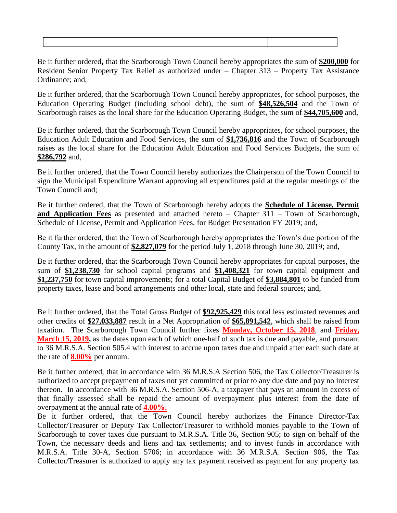Be it further ordered**,** that the Scarborough Town Council hereby appropriates the sum of **\$200,000** for Resident Senior Property Tax Relief as authorized under – Chapter 313 – Property Tax Assistance Ordinance; and,

Be it further ordered, that the Scarborough Town Council hereby appropriates, for school purposes, the Education Operating Budget (including school debt), the sum of **\$48,526,504** and the Town of Scarborough raises as the local share for the Education Operating Budget, the sum of **\$44,705,600** and,

Be it further ordered, that the Scarborough Town Council hereby appropriates, for school purposes, the Education Adult Education and Food Services, the sum of **\$1,736,816** and the Town of Scarborough raises as the local share for the Education Adult Education and Food Services Budgets, the sum of **\$286,792** and,

Be it further ordered, that the Town Council hereby authorizes the Chairperson of the Town Council to sign the Municipal Expenditure Warrant approving all expenditures paid at the regular meetings of the Town Council and;

Be it further ordered, that the Town of Scarborough hereby adopts the **Schedule of License, Permit and Application Fees** as presented and attached hereto – Chapter 311 – Town of Scarborough, Schedule of License, Permit and Application Fees, for Budget Presentation FY 2019; and,

Be it further ordered, that the Town of Scarborough hereby appropriates the Town's due portion of the County Tax, in the amount of **\$2,827,079** for the period July 1, 2018 through June 30, 2019; and,

Be it further ordered, that the Scarborough Town Council hereby appropriates for capital purposes, the sum of **\$1,238,730** for school capital programs and **\$1,408,321** for town capital equipment and **\$1,237,750** for town capital improvements; for a total Capital Budget of **\$3,884,801** to be funded from property taxes, lease and bond arrangements and other local, state and federal sources; and,

Be it further ordered, that the Total Gross Budget of **\$92,925,429** this total less estimated revenues and other credits of **\$27,033,887** result in a Net Appropriation of **\$65,891,542**, which shall be raised from taxation. The Scarborough Town Council further fixes **Monday, October 15, 2018**, and **Friday, March 15, 2019,** as the dates upon each of which one-half of such tax is due and payable, and pursuant to 36 M.R.S.A. Section 505.4 with interest to accrue upon taxes due and unpaid after each such date at the rate of **8.00%** per annum.

Be it further ordered, that in accordance with 36 M.R.S.A Section 506, the Tax Collector/Treasurer is authorized to accept prepayment of taxes not yet committed or prior to any due date and pay no interest thereon. In accordance with 36 M.R.S.A. Section 506-A, a taxpayer that pays an amount in excess of that finally assessed shall be repaid the amount of overpayment plus interest from the date of overpayment at the annual rate of **4.00%.**

Be it further ordered, that the Town Council hereby authorizes the Finance Director-Tax Collector/Treasurer or Deputy Tax Collector/Treasurer to withhold monies payable to the Town of Scarborough to cover taxes due pursuant to M.R.S.A. Title 36, Section 905; to sign on behalf of the Town, the necessary deeds and liens and tax settlements; and to invest funds in accordance with M.R.S.A. Title 30-A, Section 5706; in accordance with 36 M.R.S.A. Section 906, the Tax Collector/Treasurer is authorized to apply any tax payment received as payment for any property tax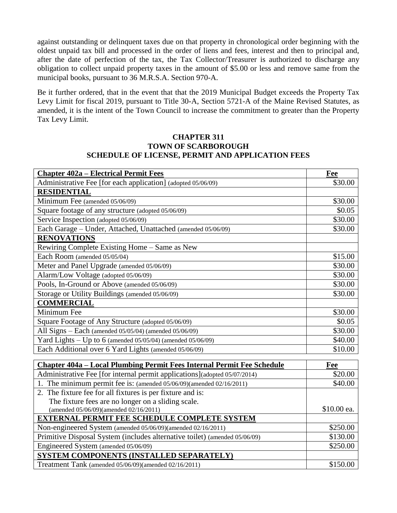against outstanding or delinquent taxes due on that property in chronological order beginning with the oldest unpaid tax bill and processed in the order of liens and fees, interest and then to principal and, after the date of perfection of the tax, the Tax Collector/Treasurer is authorized to discharge any obligation to collect unpaid property taxes in the amount of \$5.00 or less and remove same from the municipal books, pursuant to 36 M.R.S.A. Section 970-A.

Be it further ordered, that in the event that that the 2019 Municipal Budget exceeds the Property Tax Levy Limit for fiscal 2019, pursuant to Title 30-A, Section 5721-A of the Maine Revised Statutes, as amended, it is the intent of the Town Council to increase the commitment to greater than the Property Tax Levy Limit.

#### **CHAPTER 311 TOWN OF SCARBOROUGH SCHEDULE OF LICENSE, PERMIT AND APPLICATION FEES**

| <b>Chapter 402a – Electrical Permit Fees</b>                                                                                                        | Fee                   |
|-----------------------------------------------------------------------------------------------------------------------------------------------------|-----------------------|
| Administrative Fee [for each application] (adopted 05/06/09)                                                                                        | \$30.00               |
| <b>RESIDENTIAL</b>                                                                                                                                  |                       |
| Minimum Fee (amended 05/06/09)                                                                                                                      | \$30.00               |
| Square footage of any structure (adopted 05/06/09)                                                                                                  | \$0.05                |
| Service Inspection (adopted 05/06/09)                                                                                                               | \$30.00               |
| Each Garage - Under, Attached, Unattached (amended 05/06/09)                                                                                        | \$30.00               |
| <b>RENOVATIONS</b>                                                                                                                                  |                       |
| Rewiring Complete Existing Home - Same as New                                                                                                       |                       |
| Each Room (amended 05/05/04)                                                                                                                        | \$15.00               |
| Meter and Panel Upgrade (amended 05/06/09)                                                                                                          | \$30.00               |
| Alarm/Low Voltage (adopted 05/06/09)                                                                                                                | \$30.00               |
| Pools, In-Ground or Above (amended 05/06/09)                                                                                                        | \$30.00               |
| Storage or Utility Buildings (amended 05/06/09)                                                                                                     | \$30.00               |
| <b>COMMERCIAL</b>                                                                                                                                   |                       |
| Minimum Fee                                                                                                                                         | \$30.00               |
| Square Footage of Any Structure (adopted 05/06/09)                                                                                                  | \$0.05                |
| All Signs - Each (amended 05/05/04) (amended 05/06/09)                                                                                              | \$30.00               |
| Yard Lights - Up to 6 (amended 05/05/04) (amended 05/06/09)                                                                                         | \$40.00               |
| Each Additional over 6 Yard Lights (amended 05/06/09)                                                                                               | \$10.00               |
|                                                                                                                                                     |                       |
| Chapter 404a – Local Plumbing Permit Fees Internal Permit Fee Schedule<br>Administrative Fee [for internal permit applications](adopted 05/07/2014) | <b>Fee</b><br>\$20.00 |
| 1. The minimum permit fee is: (amended 05/06/09)(amended 02/16/2011)                                                                                | \$40.00               |
|                                                                                                                                                     |                       |
| 2. The fixture fee for all fixtures is per fixture and is:<br>The fixture fees are no longer on a sliding scale.                                    |                       |
| (amended 05/06/09)(amended 02/16/2011)                                                                                                              | \$10.00 ea.           |
| <b>EXTERNAL PERMIT FEE SCHEDULE COMPLETE SYSTEM</b>                                                                                                 |                       |
| Non-engineered System (amended 05/06/09)(amended 02/16/2011)                                                                                        | \$250.00              |
| Primitive Disposal System (includes alternative toilet) (amended 05/06/09)                                                                          | \$130.00              |
| Engineered System (amended 05/06/09)                                                                                                                | \$250.00              |
| SYSTEM COMPONENTS (INSTALLED SEPARATELY)                                                                                                            |                       |
| Treatment Tank (amended 05/06/09)(amended 02/16/2011)                                                                                               | \$150.00              |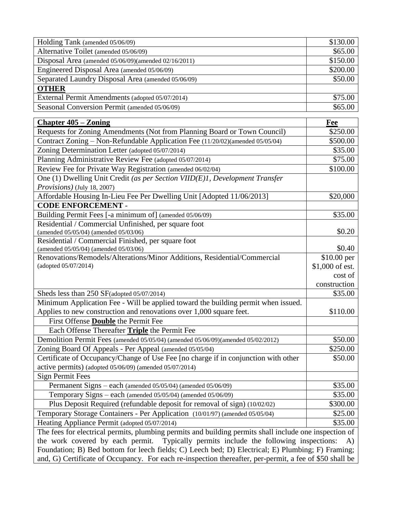| Holding Tank (amended 05/06/09)                      | \$130.00 |
|------------------------------------------------------|----------|
| Alternative Toilet (amended 05/06/09)                | \$65.00  |
| Disposal Area (amended 05/06/09)(amended 02/16/2011) | \$150.00 |
| Engineered Disposal Area (amended 05/06/09)          | \$200.00 |
| Separated Laundry Disposal Area (amended 05/06/09)   | \$50.00  |
| <b>OTHER</b>                                         |          |
| External Permit Amendments (adopted 05/07/2014)      | \$75.00  |
| Seasonal Conversion Permit (amended 05/06/09)        | \$65.00  |

| <b>Chapter 405 – Zoning</b>                                                                             | Fee             |  |
|---------------------------------------------------------------------------------------------------------|-----------------|--|
| Requests for Zoning Amendments (Not from Planning Board or Town Council)                                | \$250.00        |  |
| Contract Zoning - Non-Refundable Application Fee (11/20/02)(amended 05/05/04)                           | \$500.00        |  |
| Zoning Determination Letter (adopted 05/07/2014)                                                        | \$35.00         |  |
| Planning Administrative Review Fee (adopted 05/07/2014)                                                 | \$75.00         |  |
| Review Fee for Private Way Registration (amended 06/02/04)                                              | \$100.00        |  |
| One (1) Dwelling Unit Credit (as per Section VIID(E)1, Development Transfer                             |                 |  |
| <i>Provisions</i> ) (July 18, 2007)                                                                     |                 |  |
| Affordable Housing In-Lieu Fee Per Dwelling Unit [Adopted 11/06/2013]                                   | \$20,000        |  |
| <b>CODE ENFORCEMENT -</b>                                                                               |                 |  |
| Building Permit Fees [-a minimum of] (amended 05/06/09)                                                 | \$35.00         |  |
| Residential / Commercial Unfinished, per square foot                                                    |                 |  |
| (amended 05/05/04) (amended 05/03/06)                                                                   | \$0.20          |  |
| Residential / Commercial Finished, per square foot                                                      |                 |  |
| (amended 05/05/04) (amended 05/03/06)                                                                   | \$0.40          |  |
| Renovations/Remodels/Alterations/Minor Additions, Residential/Commercial                                | \$10.00 per     |  |
| (adopted 05/07/2014)                                                                                    | \$1,000 of est. |  |
|                                                                                                         | cost of         |  |
|                                                                                                         | construction    |  |
| Sheds less than 250 SF(adopted 05/07/2014)                                                              | \$35.00         |  |
| Minimum Application Fee - Will be applied toward the building permit when issued.                       |                 |  |
| Applies to new construction and renovations over 1,000 square feet.                                     | \$110.00        |  |
| First Offense Double the Permit Fee                                                                     |                 |  |
| Each Offense Thereafter Triple the Permit Fee                                                           |                 |  |
| Demolition Permit Fees (amended 05/05/04) (amended 05/06/09)(amended 05/02/2012)                        | \$50.00         |  |
| Zoning Board Of Appeals - Per Appeal (amended 05/05/04)                                                 | \$250.00        |  |
| Certificate of Occupancy/Change of Use Fee [no charge if in conjunction with other                      | \$50.00         |  |
| active permits) (adopted 05/06/09) (amended 05/07/2014)                                                 |                 |  |
| <b>Sign Permit Fees</b>                                                                                 |                 |  |
| Permanent Signs – each (amended 05/05/04) (amended 05/06/09)                                            | \$35.00         |  |
| Temporary Signs – each (amended 05/05/04) (amended 05/06/09)                                            | \$35.00         |  |
| Plus Deposit Required (refundable deposit for removal of sign) (10/02/02)                               | \$300.00        |  |
| Temporary Storage Containers - Per Application (10/01/97) (amended 05/05/04)                            | \$25.00         |  |
| Heating Appliance Permit (adopted 05/07/2014)                                                           | \$35.00         |  |
| The fees for electrical permits, plumbing permits and building permits shall include one inspection of  |                 |  |
| the work covered by each permit. Typically permits include the following inspections:<br>A)             |                 |  |
| Foundation; B) Bed bottom for leech fields; C) Leech bed; D) Electrical; E) Plumbing; F) Framing;       |                 |  |
| and, G) Certificate of Occupancy. For each re-inspection thereafter, per-permit, a fee of \$50 shall be |                 |  |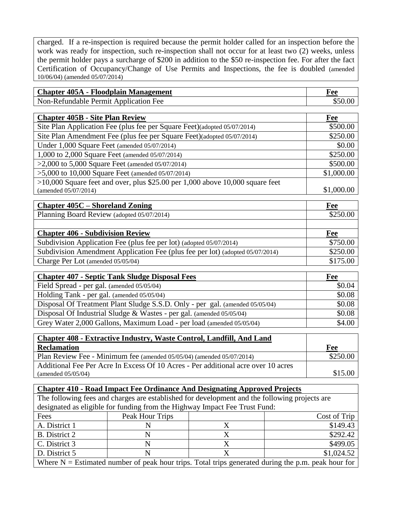charged. If a re-inspection is required because the permit holder called for an inspection before the work was ready for inspection, such re-inspection shall not occur for at least two (2) weeks, unless the permit holder pays a surcharge of \$200 in addition to the \$50 re-inspection fee. For after the fact Certification of Occupancy/Change of Use Permits and Inspections, the fee is doubled (amended 10/06/04) (amended 05/07/2014)

| <b>Chapter 405A - Floodplain Management</b> | Fee     |
|---------------------------------------------|---------|
| Non-Refundable Permit Application Fee       | \$50.00 |

| <b>Chapter 405B - Site Plan Review</b>                                          | <b>Fee</b> |
|---------------------------------------------------------------------------------|------------|
| Site Plan Application Fee (plus fee per Square Feet)(adopted 05/07/2014)        | \$500.00   |
| Site Plan Amendment Fee (plus fee per Square Feet) (adopted 05/07/2014)         | \$250.00   |
| Under 1,000 Square Feet (amended 05/07/2014)                                    | \$0.00     |
| 1,000 to 2,000 Square Feet (amended 05/07/2014)                                 | \$250.00   |
| $>2,000$ to 5,000 Square Feet (amended 05/07/2014)                              | \$500.00   |
| $>5,000$ to 10,000 Square Feet (amended 05/07/2014)                             | \$1,000.00 |
| $>10,000$ Square feet and over, plus \$25.00 per 1,000 above 10,000 square feet |            |
| (amended 05/07/2014)                                                            | \$1,000.00 |

| <b>Chapter 405C – Shoreland Zoning</b>                                        | Fee      |
|-------------------------------------------------------------------------------|----------|
| Planning Board Review (adopted 05/07/2014)                                    | \$250.00 |
|                                                                               |          |
| <b>Chapter 406 - Subdivision Review</b>                                       | Fee      |
| Subdivision Application Fee (plus fee per lot) (adopted 05/07/2014)           | \$750.00 |
| Subdivision Amendment Application Fee (plus fee per lot) (adopted 05/07/2014) | \$250.00 |
| Charge Per Lot (amended 05/05/04)                                             | \$175.00 |

| <b>Chapter 407 - Septic Tank Sludge Disposal Fees</b>                        | Fee    |
|------------------------------------------------------------------------------|--------|
| Field Spread - per gal. (amended 05/05/04)                                   | \$0.04 |
| Holding Tank - per gal. (amended 05/05/04)                                   | \$0.08 |
| Disposal Of Treatment Plant Sludge S.S.D. Only - per gal. (amended 05/05/04) | \$0.08 |
| Disposal Of Industrial Sludge & Wastes - per gal. (amended 05/05/04)         | \$0.08 |
| Grey Water 2,000 Gallons, Maximum Load - per load (amended 05/05/04)         | \$4.00 |

| <b>Chapter 408 - Extractive Industry, Waste Control, Landfill, And Land</b>       |          |
|-----------------------------------------------------------------------------------|----------|
| <b>Reclamation</b>                                                                | Fee      |
| Plan Review Fee - Minimum fee (amended 05/05/04) (amended 05/07/2014)             | \$250.00 |
| Additional Fee Per Acre In Excess Of 10 Acres - Per additional acre over 10 acres |          |
| (amended $05/05/04$ )                                                             | \$15.00  |

| <b>Chapter 410 - Road Impact Fee Ordinance And Designating Approved Projects</b>                     |                 |   |              |
|------------------------------------------------------------------------------------------------------|-----------------|---|--------------|
| The following fees and charges are established for development and the following projects are        |                 |   |              |
| designated as eligible for funding from the Highway Impact Fee Trust Fund:                           |                 |   |              |
| Fees                                                                                                 | Peak Hour Trips |   | Cost of Trip |
| A. District 1                                                                                        | N               | X | \$149.43     |
| <b>B.</b> District 2                                                                                 | N               | X | \$292.42     |
| C. District 3                                                                                        | N               | X | \$499.05     |
| D. District 5                                                                                        | N               | Х | \$1,024.52   |
| Where $N =$ Estimated number of peak hour trips. Total trips generated during the p.m. peak hour for |                 |   |              |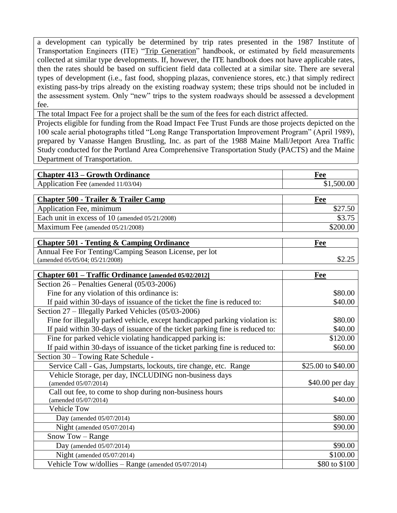a development can typically be determined by trip rates presented in the 1987 Institute of Transportation Engineers (ITE) "Trip Generation" handbook, or estimated by field measurements collected at similar type developments. If, however, the ITE handbook does not have applicable rates, then the rates should be based on sufficient field data collected at a similar site. There are several types of development (i.e., fast food, shopping plazas, convenience stores, etc.) that simply redirect existing pass-by trips already on the existing roadway system; these trips should not be included in the assessment system. Only "new" trips to the system roadways should be assessed a development fee.

The total Impact Fee for a project shall be the sum of the fees for each district affected.

Projects eligible for funding from the Road Impact Fee Trust Funds are those projects depicted on the 100 scale aerial photographs titled "Long Range Transportation Improvement Program" (April 1989), prepared by Vanasse Hangen Brustling, Inc. as part of the 1988 Maine Mall/Jetport Area Traffic Study conducted for the Portland Area Comprehensive Transportation Study (PACTS) and the Maine Department of Transportation.

| <b>Chapter 413 – Growth Ordinance</b> | Fee        |
|---------------------------------------|------------|
| Application Fee (amended 11/03/04)    | \$1,500.00 |

| <b>Chapter 500 - Trailer &amp; Trailer Camp</b>     | Fee      |
|-----------------------------------------------------|----------|
| Application Fee, minimum                            |          |
| Each unit in excess of $10$ (amended $05/21/2008$ ) | \$3.75   |
| Maximum Fee (amended 05/21/2008)                    | \$200.00 |

| <b>Chapter 501 - Tenting &amp; Camping Ordinance</b>   | Fee    |
|--------------------------------------------------------|--------|
| Annual Fee For Tenting/Camping Season License, per lot |        |
| (amended $05/05/04$ ; $05/21/2008$ )                   | \$2.25 |

| Chapter 601 – Traffic Ordinance [amended 05/02/2012]                         | Fee                |
|------------------------------------------------------------------------------|--------------------|
| Section $26$ – Penalties General $(05/03-2006)$                              |                    |
| Fine for any violation of this ordinance is:                                 | \$80.00            |
| If paid within 30-days of issuance of the ticket the fine is reduced to:     | \$40.00            |
| Section 27 – Illegally Parked Vehicles (05/03-2006)                          |                    |
| Fine for illegally parked vehicle, except handicapped parking violation is:  | \$80.00            |
| If paid within 30-days of issuance of the ticket parking fine is reduced to: | \$40.00            |
| Fine for parked vehicle violating handicapped parking is:                    | \$120.00           |
| If paid within 30-days of issuance of the ticket parking fine is reduced to: | \$60.00            |
| Section 30 – Towing Rate Schedule -                                          |                    |
| Service Call - Gas, Jumpstarts, lockouts, tire change, etc. Range            | \$25.00 to \$40.00 |
| Vehicle Storage, per day, INCLUDING non-business days                        |                    |
| (amended 05/07/2014)                                                         | \$40.00 per day    |
| Call out fee, to come to shop during non-business hours                      |                    |
| (amended 05/07/2014)                                                         | \$40.00            |
| <b>Vehicle Tow</b>                                                           |                    |
| Day (amended $05/07/2014$ )                                                  | \$80.00            |
| Night (amended $05/07/2014$ )                                                | \$90.00            |
| Snow Tow – Range                                                             |                    |
| Day (amended $05/07/2014$ )                                                  | \$90.00            |
| Night (amended $05/07/2014$ )                                                | \$100.00           |
| Vehicle Tow w/dollies - Range (amended 05/07/2014)                           | \$80 to \$100      |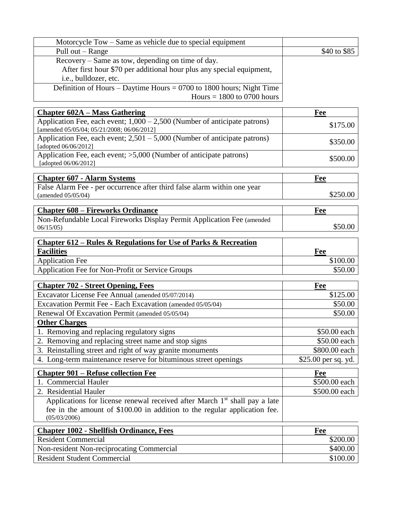| Motorcycle Tow – Same as vehicle due to special equipment              |              |
|------------------------------------------------------------------------|--------------|
| Pull out – Range                                                       | \$40 to \$85 |
| Recovery – Same as tow, depending on time of day.                      |              |
| After first hour \$70 per additional hour plus any special equipment,  |              |
| i.e., bulldozer, etc.                                                  |              |
| Definition of Hours – Daytime Hours = $0700$ to 1800 hours; Night Time |              |
| Hours $= 1800$ to 0700 hours                                           |              |

| <b>Chapter 602A – Mass Gathering</b>                                                                                      | Fee                 |
|---------------------------------------------------------------------------------------------------------------------------|---------------------|
| Application Fee, each event; $1,000 - 2,500$ (Number of anticipate patrons)<br>[amended 05/05/04; 05/21/2008; 06/06/2012] | \$175.00            |
| Application Fee, each event; $2,501 - 5,000$ (Number of anticipate patrons)<br>[adopted 06/06/2012]                       | \$350.00            |
| Application Fee, each event; >5,000 (Number of anticipate patrons)<br>[adopted 06/06/2012]                                | \$500.00            |
| <b>Chapter 607 - Alarm Systems</b>                                                                                        | Fee                 |
| False Alarm Fee - per occurrence after third false alarm within one year<br>(amended 05/05/04)                            | \$250.00            |
| <b>Chapter 608 - Fireworks Ordinance</b>                                                                                  | Fee                 |
| Non-Refundable Local Fireworks Display Permit Application Fee (amended<br>06/15/05                                        | \$50.00             |
| <b>Chapter 612 – Rules &amp; Regulations for Use of Parks &amp; Recreation</b>                                            |                     |
| <b>Facilities</b>                                                                                                         | Fee                 |
| <b>Application Fee</b>                                                                                                    | \$100.00            |
| Application Fee for Non-Profit or Service Groups                                                                          | \$50.00             |
| <b>Chapter 702 - Street Opening, Fees</b>                                                                                 | Fee                 |
| Excavator License Fee Annual (amended 05/07/2014)                                                                         | \$125.00            |
| Excavation Permit Fee - Each Excavation (amended 05/05/04)                                                                | \$50.00             |
| Renewal Of Excavation Permit (amended 05/05/04)                                                                           | \$50.00             |
| <b>Other Charges</b>                                                                                                      |                     |
| 1. Removing and replacing regulatory signs                                                                                | \$50.00 each        |
| 2. Removing and replacing street name and stop signs                                                                      | \$50.00 each        |
| 3. Reinstalling street and right of way granite monuments                                                                 | \$800.00 each       |
| 4. Long-term maintenance reserve for bituminous street openings                                                           | \$25.00 per sq. yd. |
| <b>Chapter 901 – Refuse collection Fee</b>                                                                                | Fee                 |
| 1. Commercial Hauler                                                                                                      | \$500.00 each       |
| 2. Residential Hauler                                                                                                     | \$500.00 each       |

Applications for license renewal received after March 1<sup>st</sup> shall pay a late fee in the amount of \$100.00 in addition to the regular application fee. (05/03/2006)

| <b>Chapter 1002 - Shellfish Ordinance, Fees</b> | Fee      |
|-------------------------------------------------|----------|
| <b>Resident Commercial</b>                      | \$200.00 |
| Non-resident Non-reciprocating Commercial       | \$400.00 |
| <b>Resident Student Commercial</b>              | \$100.00 |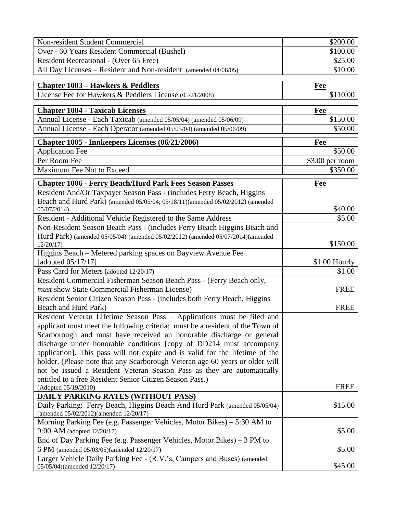| Non-resident Student Commercial                                                                                      | \$200.00         |
|----------------------------------------------------------------------------------------------------------------------|------------------|
| Over - 60 Years Resident Commercial (Bushel)                                                                         | \$100.00         |
| Resident Recreational - (Over 65 Free)                                                                               | \$25.00          |
| All Day Licenses - Resident and Non-resident (amended 04/06/05)                                                      | \$10.00          |
|                                                                                                                      |                  |
| <b>Chapter 1003 – Hawkers &amp; Peddlers</b>                                                                         | Fee              |
| License Fee for Hawkers & Peddlers License (05/21/2008)                                                              | \$110.00         |
|                                                                                                                      |                  |
| <b>Chapter 1004 - Taxicab Licenses</b>                                                                               | Fee              |
| Annual License - Each Taxicab (amended 05/05/04) (amended 05/06/09)                                                  | \$150.00         |
| Annual License - Each Operator (amended 05/05/04) (amended 05/06/09)                                                 | \$50.00          |
| <b>Chapter 1005 - Innkeepers Licenses (06/21/2006)</b>                                                               | <b>Fee</b>       |
| <b>Application Fee</b>                                                                                               | \$50.00          |
| Per Room Fee                                                                                                         | $$3.00$ per room |
| Maximum Fee Not to Exceed                                                                                            | \$350.00         |
| <b>Chapter 1006 - Ferry Beach/Hurd Park Fees Season Passes</b>                                                       | Fee              |
| Resident And/Or Taxpayer Season Pass - (includes Ferry Beach, Higgins                                                |                  |
| Beach and Hurd Park) (amended 05/05/04; 05/18/11)(amended 05/02/2012) (amended                                       |                  |
| 05/07/2014)                                                                                                          | \$40.00          |
| Resident - Additional Vehicle Registered to the Same Address                                                         | \$5.00           |
| Non-Resident Season Beach Pass - (includes Ferry Beach Higgins Beach and                                             |                  |
| Hurd Park) (amended 05/05/04) (amended 05/02/2012) (amended 05/07/2014)(amended                                      |                  |
| 12/20/17                                                                                                             | \$150.00         |
| Higgins Beach – Metered parking spaces on Bayview Avenue Fee                                                         |                  |
| [adopted $05/17/17$ ]                                                                                                | \$1.00 Hourly    |
| Pass Card for Meters [adopted 12/20/17)                                                                              | \$1.00           |
| Resident Commercial Fisherman Season Beach Pass - (Ferry Beach only,                                                 |                  |
| must show State Commercial Fisherman License)                                                                        | <b>FREE</b>      |
| Resident Senior Citizen Season Pass - (includes both Ferry Beach, Higgins                                            |                  |
| Beach and Hurd Park)                                                                                                 | <b>FREE</b>      |
| Resident Veteran Lifetime Season Pass - Applications must be filed and                                               |                  |
| applicant must meet the following criteria: must be a resident of the Town of                                        |                  |
| Scarborough and must have received an honorable discharge or general                                                 |                  |
| discharge under honorable conditions [copy of DD214 must accompany                                                   |                  |
| application]. This pass will not expire and is valid for the lifetime of the                                         |                  |
| holder. (Please note that any Scarborough Veteran age 60 years or older will                                         |                  |
| not be issued a Resident Veteran Season Pass as they are automatically                                               |                  |
| entitled to a free Resident Senior Citizen Season Pass.)                                                             |                  |
| (Adopted 05/19/2010)                                                                                                 | <b>FREE</b>      |
| <b>DAILY PARKING RATES (WITHOUT PASS)</b>                                                                            |                  |
| Daily Parking: Ferry Beach, Higgins Beach And Hurd Park (amended 05/05/04)<br>(amended 05/02/2012)(amended 12/20/17) | \$15.00          |
| Morning Parking Fee (e.g. Passenger Vehicles, Motor Bikes) – 5:30 AM to                                              |                  |
| 9:00 AM (adopted 12/20/17)                                                                                           | \$5.00           |
| End of Day Parking Fee (e.g. Passenger Vehicles, Motor Bikes) $-3$ PM to                                             |                  |
| 6 PM (amended 05/03/05)(amended 12/20/17)                                                                            | \$5.00           |
| Larger Vehicle Daily Parking Fee - (R.V.'s, Campers and Buses) (amended                                              |                  |
| 05/05/04)(amended 12/20/17)                                                                                          | \$45.00          |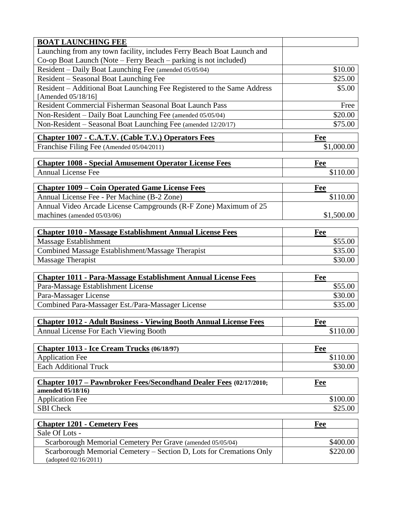| <b>BOAT LAUNCHING FEE</b>                                                                      |                    |
|------------------------------------------------------------------------------------------------|--------------------|
| Launching from any town facility, includes Ferry Beach Boat Launch and                         |                    |
| Co-op Boat Launch (Note – Ferry Beach – parking is not included)                               |                    |
| Resident – Daily Boat Launching Fee (amended 05/05/04)                                         | \$10.00            |
| Resident – Seasonal Boat Launching Fee                                                         | \$25.00            |
| Resident - Additional Boat Launching Fee Registered to the Same Address                        | \$5.00             |
| [Amended 05/18/16]                                                                             |                    |
| Resident Commercial Fisherman Seasonal Boat Launch Pass                                        | Free               |
| Non-Resident - Daily Boat Launching Fee (amended 05/05/04)                                     | \$20.00            |
| Non-Resident - Seasonal Boat Launching Fee (amended 12/20/17)                                  | \$75.00            |
| <b>Chapter 1007 - C.A.T.V. (Cable T.V.) Operators Fees</b>                                     | Fee                |
| Franchise Filing Fee (Amended 05/04/2011)                                                      | \$1,000.00         |
| <b>Chapter 1008 - Special Amusement Operator License Fees</b>                                  | <b>Fee</b>         |
| <b>Annual License Fee</b>                                                                      | \$110.00           |
|                                                                                                |                    |
| <b>Chapter 1009 – Coin Operated Game License Fees</b>                                          | Fee                |
| Annual License Fee - Per Machine (B-2 Zone)                                                    | \$110.00           |
| Annual Video Arcade License Campgrounds (R-F Zone) Maximum of 25                               |                    |
| machines (amended 05/03/06)                                                                    | \$1,500.00         |
|                                                                                                |                    |
| <b>Chapter 1010 - Massage Establishment Annual License Fees</b>                                | Fee                |
| Massage Establishment<br>Combined Massage Establishment/Massage Therapist                      | \$55.00<br>\$35.00 |
| <b>Massage Therapist</b>                                                                       | \$30.00            |
|                                                                                                |                    |
| <b>Chapter 1011 - Para-Massage Establishment Annual License Fees</b>                           | Fee                |
| Para-Massage Establishment License                                                             | \$55.00            |
| Para-Massager License                                                                          | \$30.00            |
| Combined Para-Massager Est./Para-Massager License                                              | \$35.00            |
|                                                                                                |                    |
| <b>Chapter 1012 - Adult Business - Viewing Booth Annual License Fees</b>                       | Fee                |
| Annual License For Each Viewing Booth                                                          | \$110.00           |
| Chapter 1013 - Ice Cream Trucks (06/18/97)                                                     | Fee                |
| <b>Application Fee</b>                                                                         | \$110.00           |
| <b>Each Additional Truck</b>                                                                   | \$30.00            |
|                                                                                                |                    |
| <b>Chapter 1017 – Pawnbroker Fees/Secondhand Dealer Fees (02/17/2010;</b><br>amended 05/18/16) | Fee                |
| <b>Application Fee</b>                                                                         | \$100.00           |
| <b>SBI</b> Check                                                                               | \$25.00            |
|                                                                                                |                    |
| <b>Chapter 1201 - Cemetery Fees</b><br>Sale Of Lots -                                          | Fee                |
| Scarborough Memorial Cemetery Per Grave (amended 05/05/04)                                     | \$400.00           |
| Scarborough Memorial Cemetery - Section D, Lots for Cremations Only                            | \$220.00           |
| (adopted 02/16/2011)                                                                           |                    |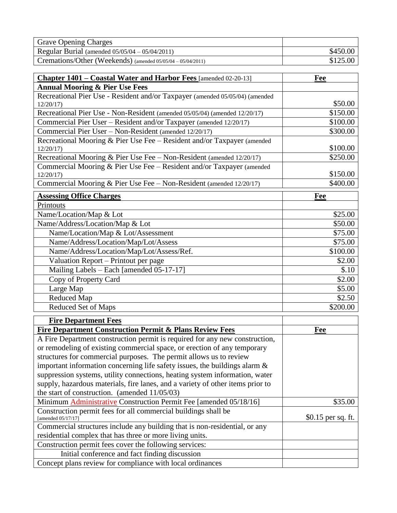| <b>Grave Opening Charges</b>                                   |          |
|----------------------------------------------------------------|----------|
| Regular Burial (amended $05/05/04 - 05/04/2011$ )              | \$450.00 |
| Cremations/Other (Weekends) (amended $05/05/04 - 05/04/2011$ ) | \$125.00 |

| <b>Chapter 1401 – Coastal Water and Harbor Fees</b> [amended 02-20-13]       | Fee      |
|------------------------------------------------------------------------------|----------|
| <b>Annual Mooring &amp; Pier Use Fees</b>                                    |          |
| Recreational Pier Use - Resident and/or Taxpayer (amended 05/05/04) (amended |          |
| 12/20/17                                                                     | \$50.00  |
| Recreational Pier Use - Non-Resident (amended 05/05/04) (amended 12/20/17)   | \$150.00 |
| Commercial Pier User - Resident and/or Taxpayer (amended 12/20/17)           | \$100.00 |
| Commercial Pier User - Non-Resident (amended 12/20/17)                       | \$300.00 |
| Recreational Mooring & Pier Use Fee - Resident and/or Taxpayer (amended      |          |
| 12/20/17                                                                     | \$100.00 |
| Recreational Mooring & Pier Use Fee - Non-Resident (amended 12/20/17)        | \$250.00 |
| Commercial Mooring & Pier Use Fee - Resident and/or Taxpayer (amended        |          |
| 12/20/17                                                                     | \$150.00 |
| Commercial Mooring & Pier Use Fee - Non-Resident (amended 12/20/17)          | \$400.00 |
| <b>Assessing Office Charges</b>                                              | Fee      |
| Printouts                                                                    |          |
| Name/Location/Map & Lot                                                      | \$25.00  |
| Name/Address/Location/Map & Lot                                              | \$50.00  |
| Name/Location/Map & Lot/Assessment                                           | \$75.00  |
| Name/Address/Location/Map/Lot/Assess                                         | \$75.00  |
| Name/Address/Location/Map/Lot/Assess/Ref.                                    | \$100.00 |
| Valuation Report – Printout per page                                         | \$2.00   |
| Mailing Labels - Each [amended 05-17-17]                                     | \$.10    |
| Copy of Property Card                                                        | \$2.00   |
| Large Map                                                                    | \$5.00   |
| Reduced Map                                                                  | \$2.50   |
| <b>Reduced Set of Maps</b>                                                   | \$200.00 |

| <b>Fire Department Fees</b>                                                          |                    |
|--------------------------------------------------------------------------------------|--------------------|
| <b>Fire Department Construction Permit &amp; Plans Review Fees</b>                   | Fee                |
| A Fire Department construction permit is required for any new construction,          |                    |
| or remodeling of existing commercial space, or erection of any temporary             |                    |
| structures for commercial purposes. The permit allows us to review                   |                    |
| important information concerning life safety issues, the buildings alarm $\&$        |                    |
| suppression systems, utility connections, heating system information, water          |                    |
| supply, hazardous materials, fire lanes, and a variety of other items prior to       |                    |
| the start of construction. (amended $11/05/03$ )                                     |                    |
| Minimum Administrative Construction Permit Fee [amended 05/18/16]                    | \$35.00            |
| Construction permit fees for all commercial buildings shall be<br>[amended 05/17/17] | \$0.15 per sq. ft. |
| Commercial structures include any building that is non-residential, or any           |                    |
| residential complex that has three or more living units.                             |                    |
| Construction permit fees cover the following services:                               |                    |
| Initial conference and fact finding discussion                                       |                    |
| Concept plans review for compliance with local ordinances                            |                    |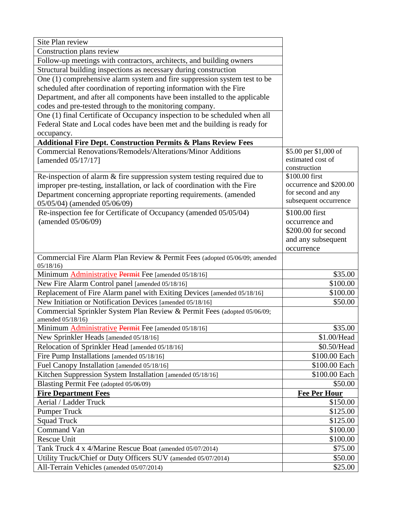| Site Plan review                                                            |                                           |
|-----------------------------------------------------------------------------|-------------------------------------------|
| Construction plans review                                                   |                                           |
| Follow-up meetings with contractors, architects, and building owners        |                                           |
| Structural building inspections as necessary during construction            |                                           |
| One (1) comprehensive alarm system and fire suppression system test to be   |                                           |
| scheduled after coordination of reporting information with the Fire         |                                           |
| Department, and after all components have been installed to the applicable  |                                           |
| codes and pre-tested through to the monitoring company.                     |                                           |
| One (1) final Certificate of Occupancy inspection to be scheduled when all  |                                           |
| Federal State and Local codes have been met and the building is ready for   |                                           |
| occupancy.                                                                  |                                           |
| <b>Additional Fire Dept. Construction Permits &amp; Plans Review Fees</b>   |                                           |
| <b>Commercial Renovations/Remodels/Alterations/Minor Additions</b>          | \$5.00 per \$1,000 of                     |
| [amended 05/17/17]                                                          | estimated cost of                         |
|                                                                             | construction                              |
| Re-inspection of alarm $\&$ fire suppression system testing required due to | \$100.00 first<br>occurrence and \$200.00 |
| improper pre-testing, installation, or lack of coordination with the Fire   | for second and any                        |
| Department concerning appropriate reporting requirements. (amended          | subsequent occurrence                     |
| 05/05/04) (amended 05/06/09)                                                |                                           |
| Re-inspection fee for Certificate of Occupancy (amended 05/05/04)           | \$100.00 first                            |
| (amended 05/06/09)                                                          | occurrence and<br>\$200.00 for second     |
|                                                                             |                                           |
|                                                                             | and any subsequent                        |
| Commercial Fire Alarm Plan Review & Permit Fees (adopted 05/06/09; amended  | occurrence                                |
| 05/18/16                                                                    |                                           |
| Minimum <b>Administrative Permit</b> Fee [amended 05/18/16]                 | \$35.00                                   |
| New Fire Alarm Control panel [amended 05/18/16]                             | \$100.00                                  |
| Replacement of Fire Alarm panel with Exiting Devices [amended 05/18/16]     | \$100.00                                  |
| New Initiation or Notification Devices [amended 05/18/16]                   | \$50.00                                   |
| Commercial Sprinkler System Plan Review & Permit Fees (adopted 05/06/09;    |                                           |
| amended 05/18/16)                                                           |                                           |
| Minimum <b>Administrative Permit</b> Fee [amended 05/18/16]                 | \$35.00                                   |
| New Sprinkler Heads [amended 05/18/16]                                      | \$1.00/Head                               |
| Relocation of Sprinkler Head [amended 05/18/16]                             | \$0.50/Head                               |
| Fire Pump Installations [amended 05/18/16]                                  | \$100.00 Each                             |
| Fuel Canopy Installation [amended 05/18/16]                                 | \$100.00 Each                             |
| Kitchen Suppression System Installation [amended 05/18/16]                  | \$100.00 Each                             |
| Blasting Permit Fee (adopted 05/06/09)                                      | \$50.00                                   |
| <b>Fire Department Fees</b>                                                 | <b>Fee Per Hour</b>                       |
| Aerial / Ladder Truck                                                       | \$150.00                                  |
| <b>Pumper Truck</b>                                                         | \$125.00                                  |
| <b>Squad Truck</b>                                                          | \$125.00                                  |
| Command Van                                                                 | \$100.00                                  |
| <b>Rescue Unit</b>                                                          | \$100.00                                  |
| Tank Truck 4 x 4/Marine Rescue Boat (amended 05/07/2014)                    | \$75.00                                   |
| Utility Truck/Chief or Duty Officers SUV (amended 05/07/2014)               | \$50.00                                   |
| All-Terrain Vehicles (amended 05/07/2014)                                   | \$25.00                                   |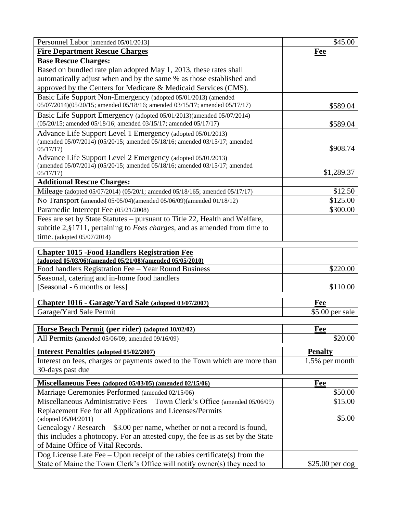| Personnel Labor [amended 05/01/2013]                                                                                                      | \$45.00          |
|-------------------------------------------------------------------------------------------------------------------------------------------|------------------|
| <b>Fire Department Rescue Charges</b>                                                                                                     | Fee              |
| <b>Base Rescue Charges:</b>                                                                                                               |                  |
| Based on bundled rate plan adopted May 1, 2013, these rates shall                                                                         |                  |
| automatically adjust when and by the same % as those established and                                                                      |                  |
| approved by the Centers for Medicare & Medicaid Services (CMS).                                                                           |                  |
| Basic Life Support Non-Emergency (adopted 05/01/2013) (amended                                                                            |                  |
| 05/07/2014)(05/20/15; amended 05/18/16; amended 03/15/17; amended 05/17/17)                                                               | \$589.04         |
| Basic Life Support Emergency (adopted 05/01/2013)(amended 05/07/2014)<br>(05/20/15; amended 05/18/16; amended 03/15/17; amended 05/17/17) | \$589.04         |
| Advance Life Support Level 1 Emergency (adopted 05/01/2013)                                                                               |                  |
| (amended 05/07/2014) (05/20/15; amended 05/18/16; amended 03/15/17; amended<br>05/17/17                                                   | \$908.74         |
| Advance Life Support Level 2 Emergency (adopted 05/01/2013)                                                                               |                  |
| (amended 05/07/2014) (05/20/15; amended 05/18/16; amended 03/15/17; amended                                                               |                  |
| 05/17/17                                                                                                                                  | \$1,289.37       |
| <b>Additional Rescue Charges:</b>                                                                                                         |                  |
| Mileage (adopted 05/07/2014) (05/20/1; amended 05/18/165; amended 05/17/17)                                                               | \$12.50          |
| No Transport (amended 05/05/04)(amended 05/06/09)(amended 01/18/12)                                                                       | \$125.00         |
| Paramedic Intercept Fee (05/21/2008)                                                                                                      | \$300.00         |
| Fees are set by State Statutes – pursuant to Title 22, Health and Welfare,                                                                |                  |
| subtitle 2, §1711, pertaining to <i>Fees charges</i> , and as amended from time to                                                        |                  |
| time. (adopted $05/07/2014$ )                                                                                                             |                  |
| <b>Chapter 1015 - Food Handlers Registration Fee</b>                                                                                      |                  |
| (adopted 05/03/06)(amended 05/21/08)(amended 05/05/2010)                                                                                  |                  |
| Food handlers Registration Fee - Year Round Business                                                                                      | \$220.00         |
| Seasonal, catering and in-home food handlers                                                                                              |                  |
| [Seasonal - 6 months or less]                                                                                                             | \$110.00         |
|                                                                                                                                           |                  |
| Chapter 1016 - Garage/Yard Sale (adopted 03/07/2007)                                                                                      | Fee              |
| Garage/Yard Sale Permit                                                                                                                   | \$5.00 per sale  |
| Horse Beach Permit (per rider) (adopted 10/02/02)                                                                                         | Fee              |
| All Permits (amended 05/06/09; amended 09/16/09)                                                                                          | \$20.00          |
| <b>Interest Penalties (adopted 05/02/2007)</b>                                                                                            | <b>Penalty</b>   |
| Interest on fees, charges or payments owed to the Town which are more than                                                                | 1.5% per month   |
| 30-days past due                                                                                                                          |                  |
|                                                                                                                                           |                  |
| Miscellaneous Fees (adopted 05/03/05) (amended 02/15/06)                                                                                  | Fee              |
| Marriage Ceremonies Performed (amended 02/15/06)                                                                                          | \$50.00          |
| Miscellaneous Administrative Fees - Town Clerk's Office (amended 05/06/09)                                                                | \$15.00          |
| Replacement Fee for all Applications and Licenses/Permits                                                                                 |                  |
| (adopted 05/04/2011)                                                                                                                      | \$5.00           |
| Genealogy / Research $-$ \$3.00 per name, whether or not a record is found,                                                               |                  |
| this includes a photocopy. For an attested copy, the fee is as set by the State<br>of Maine Office of Vital Records.                      |                  |
| Dog License Late Fee - Upon receipt of the rabies certificate(s) from the                                                                 |                  |
| State of Maine the Town Clerk's Office will notify owner(s) they need to                                                                  | $$25.00$ per dog |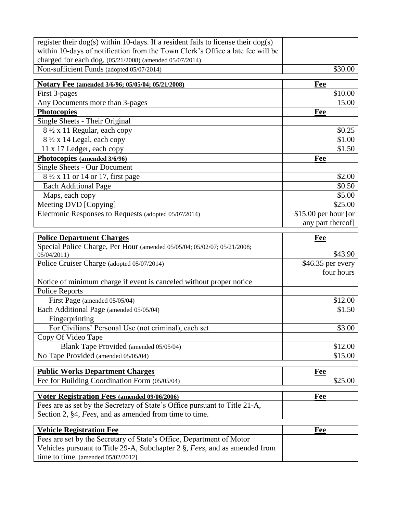| register their $\log(s)$ within 10-days. If a resident fails to license their $\log(s)$                                                            |                       |
|----------------------------------------------------------------------------------------------------------------------------------------------------|-----------------------|
| within 10-days of notification from the Town Clerk's Office a late fee will be<br>charged for each dog. (05/21/2008) (amended 05/07/2014)          |                       |
| Non-sufficient Funds (adopted 05/07/2014)                                                                                                          | \$30.00               |
|                                                                                                                                                    |                       |
| Notary Fee (amended 3/6/96; 05/05/04; 05/21/2008)                                                                                                  | Fee                   |
| First 3-pages                                                                                                                                      | \$10.00               |
| Any Documents more than 3-pages                                                                                                                    | 15.00                 |
| <b>Photocopies</b>                                                                                                                                 | Fee                   |
| Single Sheets - Their Original                                                                                                                     |                       |
| 8 ½ x 11 Regular, each copy                                                                                                                        | \$0.25                |
| 8 1/2 x 14 Legal, each copy                                                                                                                        | \$1.00                |
| 11 x 17 Ledger, each copy                                                                                                                          | \$1.50                |
| Photocopies (amended 3/6/96)                                                                                                                       | Fee                   |
| <b>Single Sheets - Our Document</b>                                                                                                                |                       |
| $8\frac{1}{2}$ x 11 or 14 or 17, first page                                                                                                        | \$2.00                |
| <b>Each Additional Page</b>                                                                                                                        | \$0.50                |
| Maps, each copy                                                                                                                                    | \$5.00                |
| Meeting DVD [Copying]                                                                                                                              | \$25.00               |
| Electronic Responses to Requests (adopted 05/07/2014)                                                                                              | \$15.00 per hour [or  |
|                                                                                                                                                    | any part thereof]     |
| <b>Police Department Charges</b>                                                                                                                   | Fee                   |
| Special Police Charge, Per Hour (amended 05/05/04; 05/02/07; 05/21/2008;                                                                           |                       |
| 05/04/2011                                                                                                                                         | \$43.90               |
| Police Cruiser Charge (adopted 05/07/2014)                                                                                                         | \$46.35 per every     |
|                                                                                                                                                    | four hours            |
|                                                                                                                                                    |                       |
| Notice of minimum charge if event is canceled without proper notice                                                                                |                       |
| <b>Police Reports</b>                                                                                                                              |                       |
| First Page (amended 05/05/04)                                                                                                                      | \$12.00               |
| Each Additional Page (amended 05/05/04)                                                                                                            | \$1.50                |
| Fingerprinting                                                                                                                                     |                       |
| For Civilians' Personal Use (not criminal), each set                                                                                               | \$3.00                |
| Copy Of Video Tape                                                                                                                                 |                       |
| Blank Tape Provided (amended 05/05/04)                                                                                                             | \$12.00               |
| No Tape Provided (amended 05/05/04)                                                                                                                | \$15.00               |
|                                                                                                                                                    |                       |
| <b>Public Works Department Charges</b><br>Fee for Building Coordination Form (05/05/04)                                                            | <b>Fee</b><br>\$25.00 |
|                                                                                                                                                    |                       |
| Voter Registration Fees (amended 09/06/2006)                                                                                                       | <b>Fee</b>            |
| Fees are as set by the Secretary of State's Office pursuant to Title 21-A,                                                                         |                       |
| Section 2, §4, Fees, and as amended from time to time.                                                                                             |                       |
| <b>Vehicle Registration Fee</b>                                                                                                                    | Fee                   |
|                                                                                                                                                    |                       |
| Fees are set by the Secretary of State's Office, Department of Motor<br>Vehicles pursuant to Title 29-A, Subchapter 2 §, Fees, and as amended from |                       |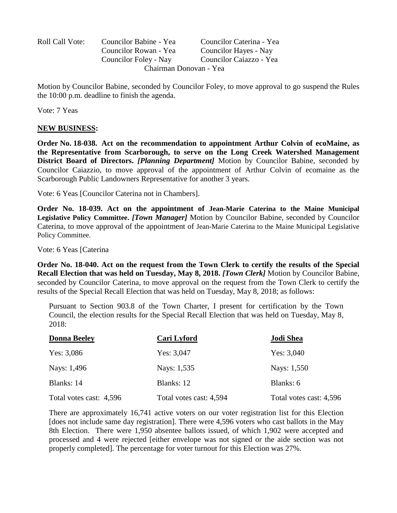| Roll Call Vote: | Councilor Babine - Yea | Councilor Caterina - Yea |
|-----------------|------------------------|--------------------------|
|                 | Councilor Rowan - Yea  | Councilor Hayes - Nay    |
|                 | Councilor Foley - Nay  | Councilor Caiazzo - Yea  |
|                 | Chairman Donovan - Yea |                          |

Motion by Councilor Babine, seconded by Councilor Foley, to move approval to go suspend the Rules the 10:00 p.m. deadline to finish the agenda.

Vote: 7 Yeas

#### **NEW BUSINESS:**

**Order No. 18-038. Act on the recommendation to appointment Arthur Colvin of ecoMaine, as the Representative from Scarborough, to serve on the Long Creek Watershed Management District Board of Directors.** *[Planning Department]* Motion by Councilor Babine, seconded by Councilor Caiazzio, to move approval of the appointment of Arthur Colvin of ecomaine as the Scarborough Public Landowners Representative for another 3 years.

Vote: 6 Yeas [Councilor Caterina not in Chambers].

**Order No. 18-039. Act on the appointment of Jean-Marie Caterina to the Maine Municipal Legislative Policy Committee.** *[Town Manager]* Motion by Councilor Babine, seconded by Councilor Caterina, to move approval of the appointment of Jean-Marie Caterina to the Maine Municipal Legislative Policy Committee.

Vote: 6 Yeas [Caterina

**Order No. 18-040. Act on the request from the Town Clerk to certify the results of the Special Recall Election that was held on Tuesday, May 8, 2018.** *[Town Clerk]* Motion by Councilor Babine, seconded by Councilor Caterina, to move approval on the request from the Town Clerk to certify the results of the Special Recall Election that was held on Tuesday, May 8, 2018; as follows:

Pursuant to Section 903.8 of the Town Charter, I present for certification by the Town Council, the election results for the Special Recall Election that was held on Tuesday, May 8, 2018:

| <b>Donna Beeley</b>     | <b>Cari Lyford</b>      | <b>Jodi Shea</b>        |
|-------------------------|-------------------------|-------------------------|
| Yes: $3,086$            | Yes: $3,047$            | Yes: $3,040$            |
| Nays: 1,496             | Nays: 1,535             | Nays: 1,550             |
| Blanks: 14              | Blanks: 12              | Blanks: 6               |
| Total votes cast: 4,596 | Total votes cast: 4,594 | Total votes cast: 4,596 |

There are approximately 16,741 active voters on our voter registration list for this Election [does not include same day registration]. There were 4,596 voters who cast ballots in the May 8th Election. There were 1,950 absentee ballots issued, of which 1,902 were accepted and processed and 4 were rejected [either envelope was not signed or the aide section was not properly completed]. The percentage for voter turnout for this Election was 27%.